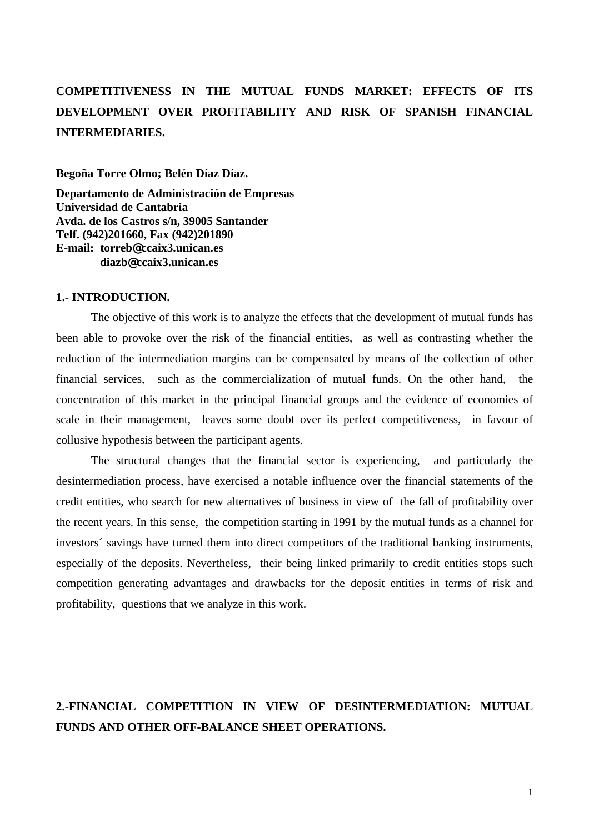# **COMPETITIVENESS IN THE MUTUAL FUNDS MARKET: EFFECTS OF ITS DEVELOPMENT OVER PROFITABILITY AND RISK OF SPANISH FINANCIAL INTERMEDIARIES.**

**Begoña Torre Olmo; Belén Díaz Díaz.**

**Departamento de Administración de Empresas Universidad de Cantabria Avda. de los Castros s/n, 39005 Santander Telf. (942)201660, Fax (942)201890 E-mail: torreb@ccaix3.unican.es diazb@ccaix3.unican.es**

#### **1.- INTRODUCTION.**

The objective of this work is to analyze the effects that the development of mutual funds has been able to provoke over the risk of the financial entities, as well as contrasting whether the reduction of the intermediation margins can be compensated by means of the collection of other financial services, such as the commercialization of mutual funds. On the other hand, the concentration of this market in the principal financial groups and the evidence of economies of scale in their management, leaves some doubt over its perfect competitiveness, in favour of collusive hypothesis between the participant agents.

The structural changes that the financial sector is experiencing, and particularly the desintermediation process, have exercised a notable influence over the financial statements of the credit entities, who search for new alternatives of business in view of the fall of profitability over the recent years. In this sense, the competition starting in 1991 by the mutual funds as a channel for investors´ savings have turned them into direct competitors of the traditional banking instruments, especially of the deposits. Nevertheless, their being linked primarily to credit entities stops such competition generating advantages and drawbacks for the deposit entities in terms of risk and profitability, questions that we analyze in this work.

# **2.-FINANCIAL COMPETITION IN VIEW OF DESINTERMEDIATION: MUTUAL FUNDS AND OTHER OFF-BALANCE SHEET OPERATIONS.**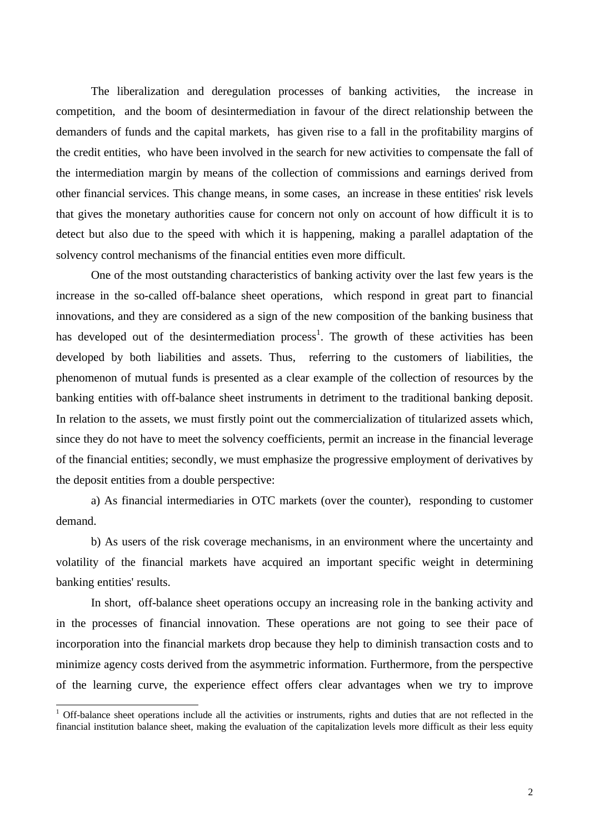The liberalization and deregulation processes of banking activities, the increase in competition, and the boom of desintermediation in favour of the direct relationship between the demanders of funds and the capital markets, has given rise to a fall in the profitability margins of the credit entities, who have been involved in the search for new activities to compensate the fall of the intermediation margin by means of the collection of commissions and earnings derived from other financial services. This change means, in some cases, an increase in these entities' risk levels that gives the monetary authorities cause for concern not only on account of how difficult it is to detect but also due to the speed with which it is happening, making a parallel adaptation of the solvency control mechanisms of the financial entities even more difficult.

One of the most outstanding characteristics of banking activity over the last few years is the increase in the so-called off-balance sheet operations, which respond in great part to financial innovations, and they are considered as a sign of the new composition of the banking business that has developed out of the desintermediation process<sup>1</sup>. The growth of these activities has been developed by both liabilities and assets. Thus, referring to the customers of liabilities, the phenomenon of mutual funds is presented as a clear example of the collection of resources by the banking entities with off-balance sheet instruments in detriment to the traditional banking deposit. In relation to the assets, we must firstly point out the commercialization of titularized assets which, since they do not have to meet the solvency coefficients, permit an increase in the financial leverage of the financial entities; secondly, we must emphasize the progressive employment of derivatives by the deposit entities from a double perspective:

a) As financial intermediaries in OTC markets (over the counter), responding to customer demand.

b) As users of the risk coverage mechanisms, in an environment where the uncertainty and volatility of the financial markets have acquired an important specific weight in determining banking entities' results.

In short, off-balance sheet operations occupy an increasing role in the banking activity and in the processes of financial innovation. These operations are not going to see their pace of incorporation into the financial markets drop because they help to diminish transaction costs and to minimize agency costs derived from the asymmetric information. Furthermore, from the perspective of the learning curve, the experience effect offers clear advantages when we try to improve

<sup>&</sup>lt;sup>1</sup> Off-balance sheet operations include all the activities or instruments, rights and duties that are not reflected in the financial institution balance sheet, making the evaluation of the capitalization levels more difficult as their less equity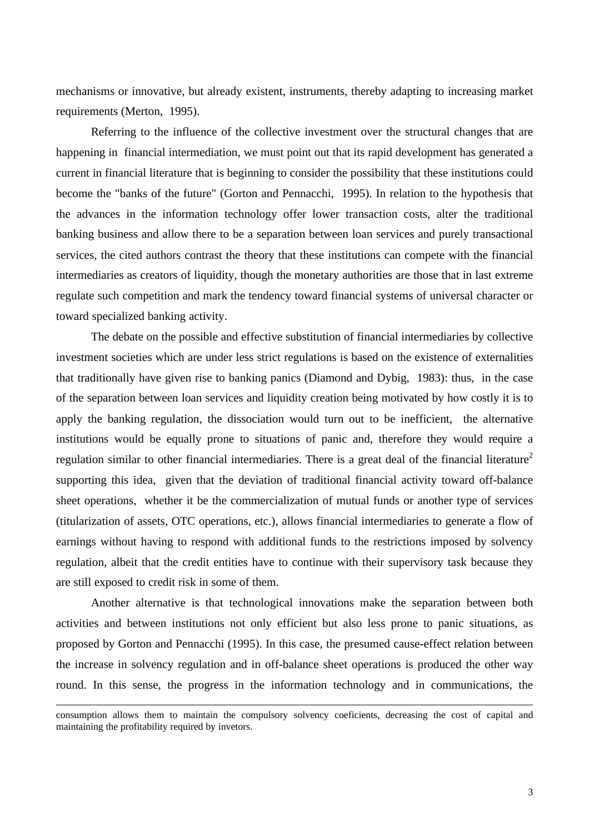mechanisms or innovative, but already existent, instruments, thereby adapting to increasing market requirements (Merton, 1995).

Referring to the influence of the collective investment over the structural changes that are happening in financial intermediation, we must point out that its rapid development has generated a current in financial literature that is beginning to consider the possibility that these institutions could become the "banks of the future" (Gorton and Pennacchi, 1995). In relation to the hypothesis that the advances in the information technology offer lower transaction costs, alter the traditional banking business and allow there to be a separation between loan services and purely transactional services, the cited authors contrast the theory that these institutions can compete with the financial intermediaries as creators of liquidity, though the monetary authorities are those that in last extreme regulate such competition and mark the tendency toward financial systems of universal character or toward specialized banking activity.

The debate on the possible and effective substitution of financial intermediaries by collective investment societies which are under less strict regulations is based on the existence of externalities that traditionally have given rise to banking panics (Diamond and Dybig, 1983): thus, in the case of the separation between loan services and liquidity creation being motivated by how costly it is to apply the banking regulation, the dissociation would turn out to be inefficient, the alternative institutions would be equally prone to situations of panic and, therefore they would require a regulation similar to other financial intermediaries. There is a great deal of the financial literature<sup>2</sup> supporting this idea, given that the deviation of traditional financial activity toward off-balance sheet operations, whether it be the commercialization of mutual funds or another type of services (titularization of assets, OTC operations, etc.), allows financial intermediaries to generate a flow of earnings without having to respond with additional funds to the restrictions imposed by solvency regulation, albeit that the credit entities have to continue with their supervisory task because they are still exposed to credit risk in some of them.

Another alternative is that technological innovations make the separation between both activities and between institutions not only efficient but also less prone to panic situations, as proposed by Gorton and Pennacchi (1995). In this case, the presumed cause-effect relation between the increase in solvency regulation and in off-balance sheet operations is produced the other way round. In this sense, the progress in the information technology and in communications, the

 $\overline{a}$ 

consumption allows them to maintain the compulsory solvency coeficients, decreasing the cost of capital and maintaining the profitability required by invetors.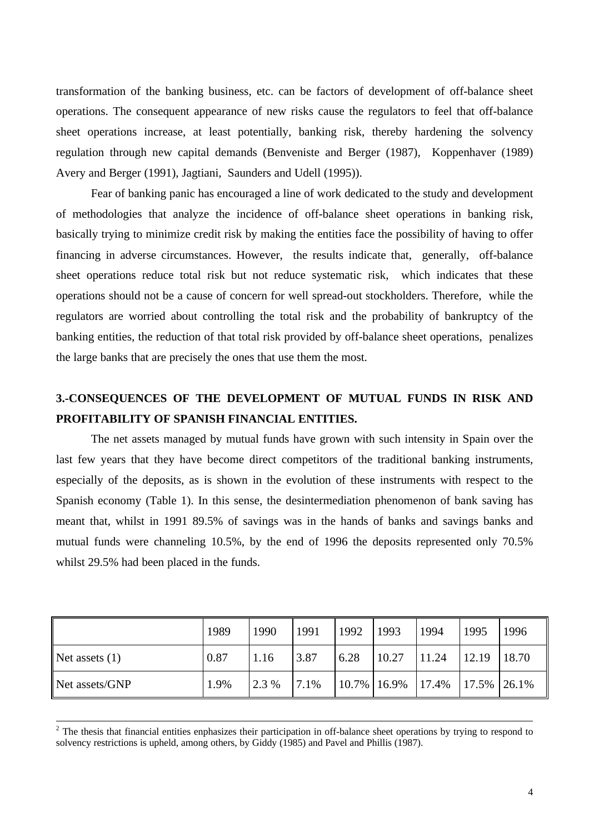transformation of the banking business, etc. can be factors of development of off-balance sheet operations. The consequent appearance of new risks cause the regulators to feel that off-balance sheet operations increase, at least potentially, banking risk, thereby hardening the solvency regulation through new capital demands (Benveniste and Berger (1987), Koppenhaver (1989) Avery and Berger (1991), Jagtiani, Saunders and Udell (1995)).

Fear of banking panic has encouraged a line of work dedicated to the study and development of methodologies that analyze the incidence of off-balance sheet operations in banking risk, basically trying to minimize credit risk by making the entities face the possibility of having to offer financing in adverse circumstances. However, the results indicate that, generally, off-balance sheet operations reduce total risk but not reduce systematic risk, which indicates that these operations should not be a cause of concern for well spread-out stockholders. Therefore, while the regulators are worried about controlling the total risk and the probability of bankruptcy of the banking entities, the reduction of that total risk provided by off-balance sheet operations, penalizes the large banks that are precisely the ones that use them the most.

# **3.-CONSEQUENCES OF THE DEVELOPMENT OF MUTUAL FUNDS IN RISK AND PROFITABILITY OF SPANISH FINANCIAL ENTITIES.**

The net assets managed by mutual funds have grown with such intensity in Spain over the last few years that they have become direct competitors of the traditional banking instruments, especially of the deposits, as is shown in the evolution of these instruments with respect to the Spanish economy (Table 1). In this sense, the desintermediation phenomenon of bank saving has meant that, whilst in 1991 89.5% of savings was in the hands of banks and savings banks and mutual funds were channeling 10.5%, by the end of 1996 the deposits represented only 70.5% whilst 29.5% had been placed in the funds.

|                  | 1989 | 1990  | 1991 | 1992 | 1993                 | 1994  | 1995  | 1996   |
|------------------|------|-------|------|------|----------------------|-------|-------|--------|
| Net assets $(1)$ | 0.87 | 1.16  | 3.87 | 6.28 | 10.27                | 11.24 | 12.19 | 18.70  |
| Net assets/GNP   | 1.9% | 2.3 % | 7.1% |      | $10.7\%$ 16.9% 17.4% |       | 17.5% | 126.1% |

 $2<sup>2</sup>$  The thesis that financial entities enphasizes their participation in off-balance sheet operations by trying to respond to solvency restrictions is upheld, among others, by Giddy (1985) and Pavel and Phillis (1987).

 $\overline{a}$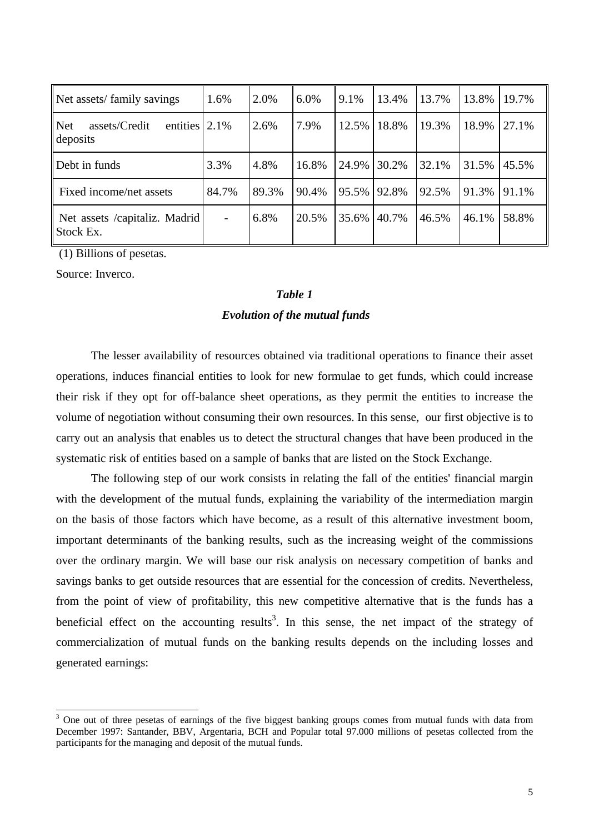| Net assets/family savings                                    | 1.6%                     | 2.0%  | 6.0%  | 9.1%  | 13.4% | 13.7% | 13.8% | 19.7% |
|--------------------------------------------------------------|--------------------------|-------|-------|-------|-------|-------|-------|-------|
| <b>Net</b><br>entities $ 2.1\%$<br>assets/Credit<br>deposits |                          | 2.6%  | 7.9%  | 12.5% | 18.8% | 19.3% | 18.9% | 27.1% |
| Debt in funds                                                | 3.3%                     | 4.8%  | 16.8% | 24.9% | 30.2% | 32.1% | 31.5% | 45.5% |
| Fixed income/net assets                                      | 84.7%                    | 89.3% | 90.4% | 95.5% | 92.8% | 92.5% | 91.3% | 91.1% |
| Net assets /capitaliz. Madrid<br>Stock Ex.                   | $\overline{\phantom{0}}$ | 6.8%  | 20.5% | 35.6% | 40.7% | 46.5% | 46.1% | 58.8% |

(1) Billions of pesetas.

Source: Inverco.

 $\overline{a}$ 

# *Table 1 Evolution of the mutual funds*

The lesser availability of resources obtained via traditional operations to finance their asset operations, induces financial entities to look for new formulae to get funds, which could increase their risk if they opt for off-balance sheet operations, as they permit the entities to increase the volume of negotiation without consuming their own resources. In this sense, our first objective is to carry out an analysis that enables us to detect the structural changes that have been produced in the systematic risk of entities based on a sample of banks that are listed on the Stock Exchange.

The following step of our work consists in relating the fall of the entities' financial margin with the development of the mutual funds, explaining the variability of the intermediation margin on the basis of those factors which have become, as a result of this alternative investment boom, important determinants of the banking results, such as the increasing weight of the commissions over the ordinary margin. We will base our risk analysis on necessary competition of banks and savings banks to get outside resources that are essential for the concession of credits. Nevertheless, from the point of view of profitability, this new competitive alternative that is the funds has a beneficial effect on the accounting results<sup>3</sup>. In this sense, the net impact of the strategy of commercialization of mutual funds on the banking results depends on the including losses and generated earnings:

 $3$  One out of three pesetas of earnings of the five biggest banking groups comes from mutual funds with data from December 1997: Santander, BBV, Argentaria, BCH and Popular total 97.000 millions of pesetas collected from the participants for the managing and deposit of the mutual funds.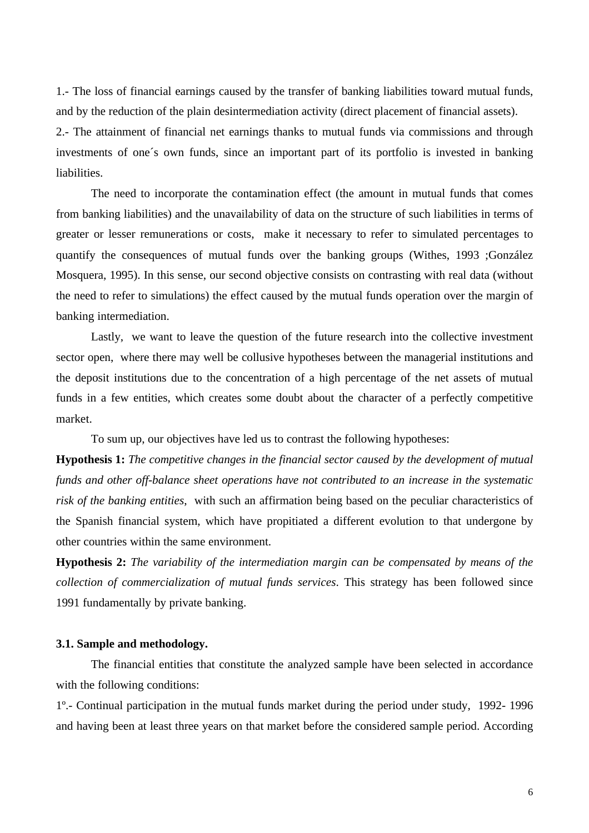1.- The loss of financial earnings caused by the transfer of banking liabilities toward mutual funds, and by the reduction of the plain desintermediation activity (direct placement of financial assets).

2.- The attainment of financial net earnings thanks to mutual funds via commissions and through investments of one´s own funds, since an important part of its portfolio is invested in banking liabilities.

The need to incorporate the contamination effect (the amount in mutual funds that comes from banking liabilities) and the unavailability of data on the structure of such liabilities in terms of greater or lesser remunerations or costs, make it necessary to refer to simulated percentages to quantify the consequences of mutual funds over the banking groups (Withes, 1993 ;González Mosquera, 1995). In this sense, our second objective consists on contrasting with real data (without the need to refer to simulations) the effect caused by the mutual funds operation over the margin of banking intermediation.

Lastly, we want to leave the question of the future research into the collective investment sector open, where there may well be collusive hypotheses between the managerial institutions and the deposit institutions due to the concentration of a high percentage of the net assets of mutual funds in a few entities, which creates some doubt about the character of a perfectly competitive market.

To sum up, our objectives have led us to contrast the following hypotheses:

**Hypothesis 1:** *The competitive changes in the financial sector caused by the development of mutual funds and other off-balance sheet operations have not contributed to an increase in the systematic risk of the banking entities*, with such an affirmation being based on the peculiar characteristics of the Spanish financial system, which have propitiated a different evolution to that undergone by other countries within the same environment.

**Hypothesis 2:** *The variability of the intermediation margin can be compensated by means of the collection of commercialization of mutual funds services*. This strategy has been followed since 1991 fundamentally by private banking.

#### **3.1. Sample and methodology.**

The financial entities that constitute the analyzed sample have been selected in accordance with the following conditions:

1º.- Continual participation in the mutual funds market during the period under study, 1992- 1996 and having been at least three years on that market before the considered sample period. According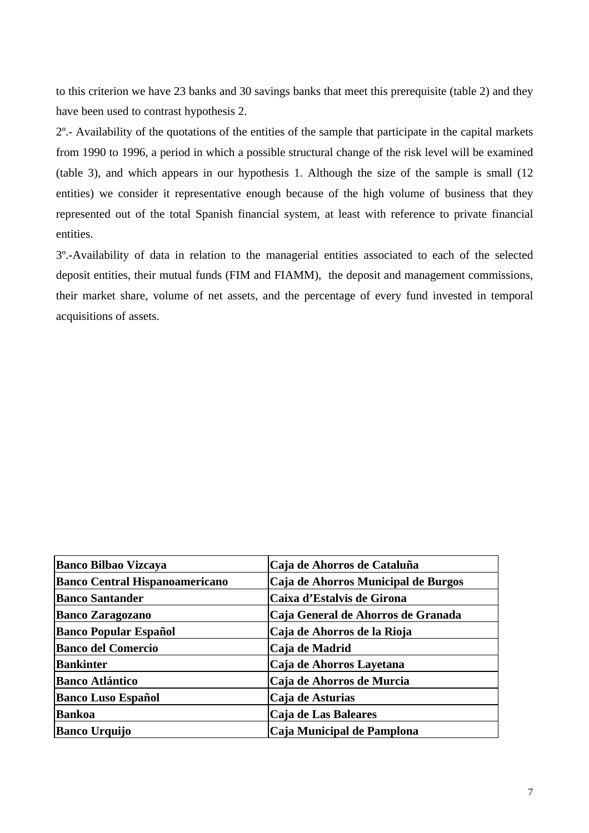to this criterion we have 23 banks and 30 savings banks that meet this prerequisite (table 2) and they have been used to contrast hypothesis 2.

2º.- Availability of the quotations of the entities of the sample that participate in the capital markets from 1990 to 1996, a period in which a possible structural change of the risk level will be examined (table 3), and which appears in our hypothesis 1. Although the size of the sample is small (12 entities) we consider it representative enough because of the high volume of business that they represented out of the total Spanish financial system, at least with reference to private financial entities.

3º.-Availability of data in relation to the managerial entities associated to each of the selected deposit entities, their mutual funds (FIM and FIAMM), the deposit and management commissions, their market share, volume of net assets, and the percentage of every fund invested in temporal acquisitions of assets.

| <b>Banco Bilbao Vizcaya</b>           | Caja de Ahorros de Cataluña         |
|---------------------------------------|-------------------------------------|
| <b>Banco Central Hispanoamericano</b> | Caja de Ahorros Municipal de Burgos |
| <b>Banco Santander</b>                | Caixa d'Estalvis de Girona          |
| <b>Banco Zaragozano</b>               | Caja General de Ahorros de Granada  |
| <b>Banco Popular Español</b>          | Caja de Ahorros de la Rioja         |
| <b>Banco del Comercio</b>             | Caja de Madrid                      |
| <b>Bankinter</b>                      | Caja de Ahorros Layetana            |
| <b>Banco Atlántico</b>                | Caja de Ahorros de Murcia           |
| <b>Banco Luso Español</b>             | Caja de Asturias                    |
| <b>Bankoa</b>                         | Caja de Las Baleares                |
| <b>Banco Urquijo</b>                  | Caja Municipal de Pamplona          |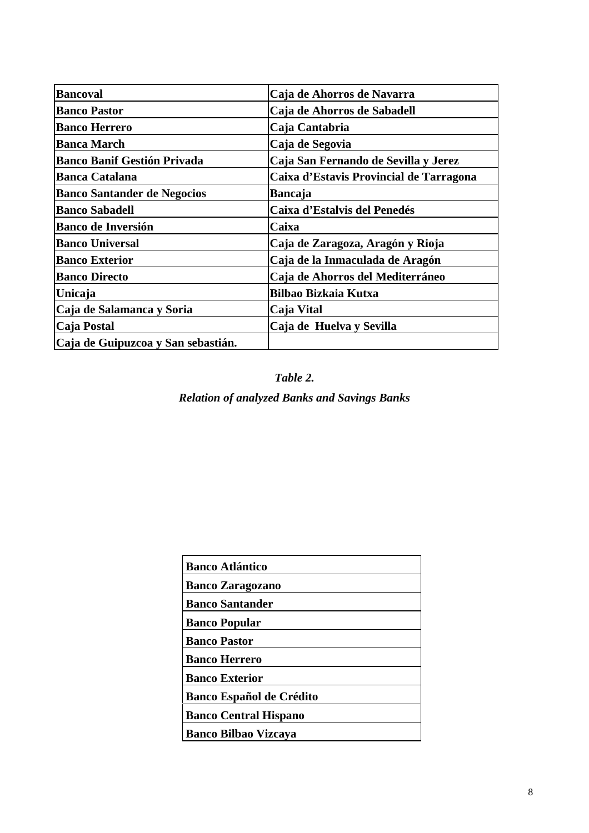| <b>Bancoval</b>                    | Caja de Ahorros de Navarra              |
|------------------------------------|-----------------------------------------|
| <b>Banco Pastor</b>                | Caja de Ahorros de Sabadell             |
| <b>Banco Herrero</b>               | Caja Cantabria                          |
| <b>Banca March</b>                 | Caja de Segovia                         |
| <b>Banco Banif Gestión Privada</b> | Caja San Fernando de Sevilla y Jerez    |
| <b>Banca Catalana</b>              | Caixa d'Estavis Provincial de Tarragona |
| <b>Banco Santander de Negocios</b> | <b>Bancaja</b>                          |
| <b>Banco Sabadell</b>              | Caixa d'Estalvis del Penedés            |
| <b>Banco de Inversión</b>          | Caixa                                   |
| <b>Banco Universal</b>             | Caja de Zaragoza, Aragón y Rioja        |
| <b>Banco Exterior</b>              | Caja de la Inmaculada de Aragón         |
| <b>Banco Directo</b>               | Caja de Ahorros del Mediterráneo        |
| Unicaja                            | <b>Bilbao Bizkaia Kutxa</b>             |
| Caja de Salamanca y Soria          | Caja Vital                              |
| Caja Postal                        | Caja de Huelva y Sevilla                |
| Caja de Guipuzcoa y San sebastián. |                                         |

*Table 2.*

*Relation of analyzed Banks and Savings Banks*

| <b>Banco Atlántico</b>          |
|---------------------------------|
| <b>Banco Zaragozano</b>         |
| <b>Banco Santander</b>          |
| <b>Banco Popular</b>            |
| <b>Banco Pastor</b>             |
| <b>Banco Herrero</b>            |
| <b>Banco Exterior</b>           |
| <b>Banco Español de Crédito</b> |
| <b>Banco Central Hispano</b>    |
| <b>Banco Bilbao Vizcaya</b>     |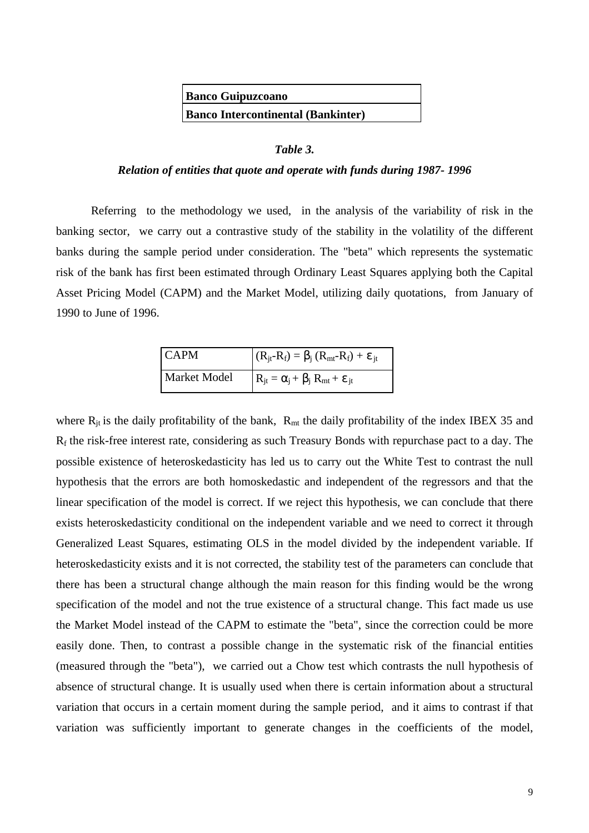**Banco Guipuzcoano Banco Intercontinental (Bankinter)**

### *Table 3.*

#### *Relation of entities that quote and operate with funds during 1987- 1996*

Referring to the methodology we used, in the analysis of the variability of risk in the banking sector, we carry out a contrastive study of the stability in the volatility of the different banks during the sample period under consideration. The "beta" which represents the systematic risk of the bank has first been estimated through Ordinary Least Squares applying both the Capital Asset Pricing Model (CAPM) and the Market Model, utilizing daily quotations, from January of 1990 to June of 1996.

| <b>CAPM</b>  | $(R_{jt} - R_f) = \beta_j (R_{mt} - R_f) + \varepsilon_{jt}$ |
|--------------|--------------------------------------------------------------|
| Market Model | $R_{jt} = \alpha_j + \beta_j R_{mt} + \varepsilon_{jt}$      |

where  $R_{it}$  is the daily profitability of the bank,  $R_{mt}$  the daily profitability of the index IBEX 35 and Rf the risk-free interest rate, considering as such Treasury Bonds with repurchase pact to a day. The possible existence of heteroskedasticity has led us to carry out the White Test to contrast the null hypothesis that the errors are both homoskedastic and independent of the regressors and that the linear specification of the model is correct. If we reject this hypothesis, we can conclude that there exists heteroskedasticity conditional on the independent variable and we need to correct it through Generalized Least Squares, estimating OLS in the model divided by the independent variable. If heteroskedasticity exists and it is not corrected, the stability test of the parameters can conclude that there has been a structural change although the main reason for this finding would be the wrong specification of the model and not the true existence of a structural change. This fact made us use the Market Model instead of the CAPM to estimate the "beta", since the correction could be more easily done. Then, to contrast a possible change in the systematic risk of the financial entities (measured through the "beta"), we carried out a Chow test which contrasts the null hypothesis of absence of structural change. It is usually used when there is certain information about a structural variation that occurs in a certain moment during the sample period, and it aims to contrast if that variation was sufficiently important to generate changes in the coefficients of the model,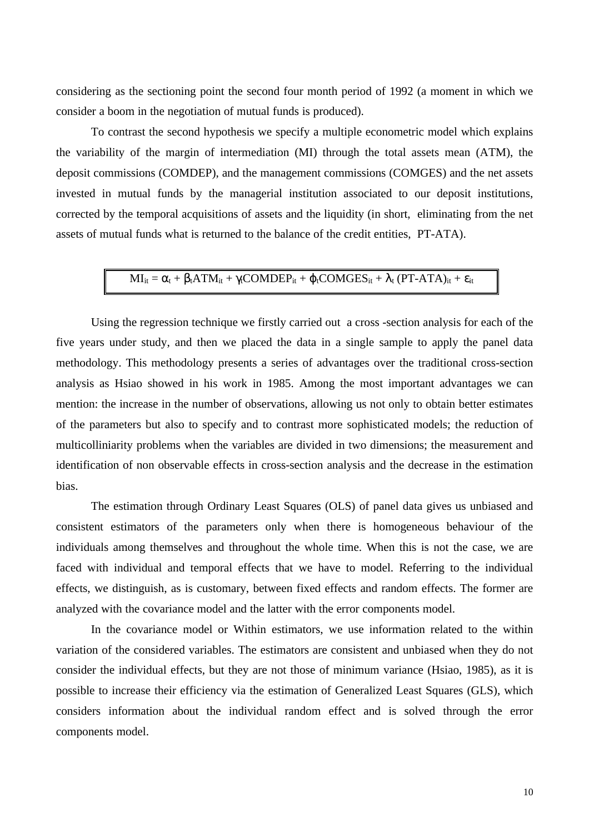considering as the sectioning point the second four month period of 1992 (a moment in which we consider a boom in the negotiation of mutual funds is produced).

To contrast the second hypothesis we specify a multiple econometric model which explains the variability of the margin of intermediation (MI) through the total assets mean (ATM), the deposit commissions (COMDEP), and the management commissions (COMGES) and the net assets invested in mutual funds by the managerial institution associated to our deposit institutions, corrected by the temporal acquisitions of assets and the liquidity (in short, eliminating from the net assets of mutual funds what is returned to the balance of the credit entities, PT-ATA).

# $MI_{it} = \alpha_t + \beta_t ATM_{it} + \gamma_t COMDER_{it} + \varphi_t COMGES_{it} + \lambda_t (PT-ATA)_{it} + \epsilon_{it}$

Using the regression technique we firstly carried out a cross -section analysis for each of the five years under study, and then we placed the data in a single sample to apply the panel data methodology. This methodology presents a series of advantages over the traditional cross-section analysis as Hsiao showed in his work in 1985. Among the most important advantages we can mention: the increase in the number of observations, allowing us not only to obtain better estimates of the parameters but also to specify and to contrast more sophisticated models; the reduction of multicolliniarity problems when the variables are divided in two dimensions; the measurement and identification of non observable effects in cross-section analysis and the decrease in the estimation bias.

The estimation through Ordinary Least Squares (OLS) of panel data gives us unbiased and consistent estimators of the parameters only when there is homogeneous behaviour of the individuals among themselves and throughout the whole time. When this is not the case, we are faced with individual and temporal effects that we have to model. Referring to the individual effects, we distinguish, as is customary, between fixed effects and random effects. The former are analyzed with the covariance model and the latter with the error components model.

In the covariance model or Within estimators, we use information related to the within variation of the considered variables. The estimators are consistent and unbiased when they do not consider the individual effects, but they are not those of minimum variance (Hsiao, 1985), as it is possible to increase their efficiency via the estimation of Generalized Least Squares (GLS), which considers information about the individual random effect and is solved through the error components model.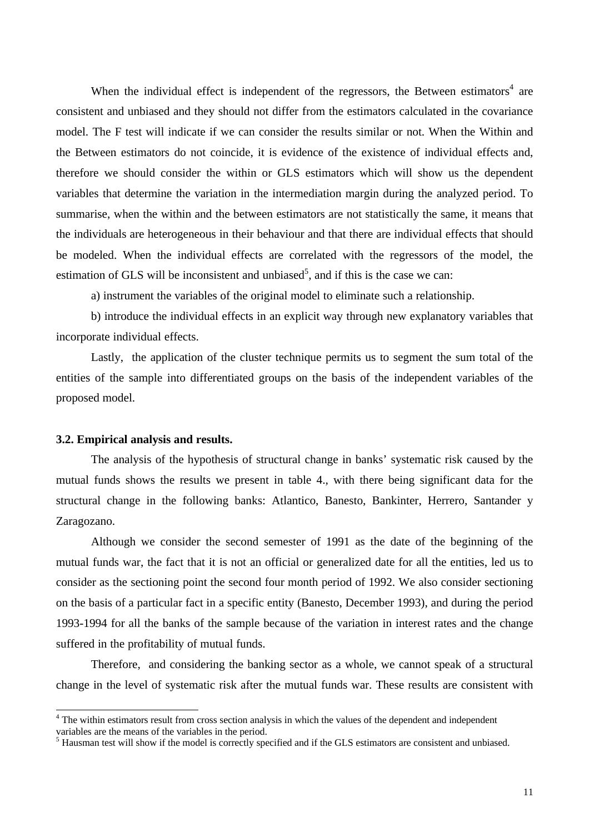When the individual effect is independent of the regressors, the Between estimators<sup>4</sup> are consistent and unbiased and they should not differ from the estimators calculated in the covariance model. The F test will indicate if we can consider the results similar or not. When the Within and the Between estimators do not coincide, it is evidence of the existence of individual effects and, therefore we should consider the within or GLS estimators which will show us the dependent variables that determine the variation in the intermediation margin during the analyzed period. To summarise, when the within and the between estimators are not statistically the same, it means that the individuals are heterogeneous in their behaviour and that there are individual effects that should be modeled. When the individual effects are correlated with the regressors of the model, the estimation of GLS will be inconsistent and unbiased<sup>5</sup>, and if this is the case we can:

a) instrument the variables of the original model to eliminate such a relationship.

b) introduce the individual effects in an explicit way through new explanatory variables that incorporate individual effects.

Lastly, the application of the cluster technique permits us to segment the sum total of the entities of the sample into differentiated groups on the basis of the independent variables of the proposed model.

### **3.2. Empirical analysis and results.**

The analysis of the hypothesis of structural change in banks' systematic risk caused by the mutual funds shows the results we present in table 4., with there being significant data for the structural change in the following banks: Atlantico, Banesto, Bankinter, Herrero, Santander y Zaragozano.

Although we consider the second semester of 1991 as the date of the beginning of the mutual funds war, the fact that it is not an official or generalized date for all the entities, led us to consider as the sectioning point the second four month period of 1992. We also consider sectioning on the basis of a particular fact in a specific entity (Banesto, December 1993), and during the period 1993-1994 for all the banks of the sample because of the variation in interest rates and the change suffered in the profitability of mutual funds.

Therefore, and considering the banking sector as a whole, we cannot speak of a structural change in the level of systematic risk after the mutual funds war. These results are consistent with

<sup>&</sup>lt;sup>4</sup> The within estimators result from cross section analysis in which the values of the dependent and independent variables are the means of the variables in the period.

<sup>&</sup>lt;sup>5</sup> Hausman test will show if the model is correctly specified and if the GLS estimators are consistent and unbiased.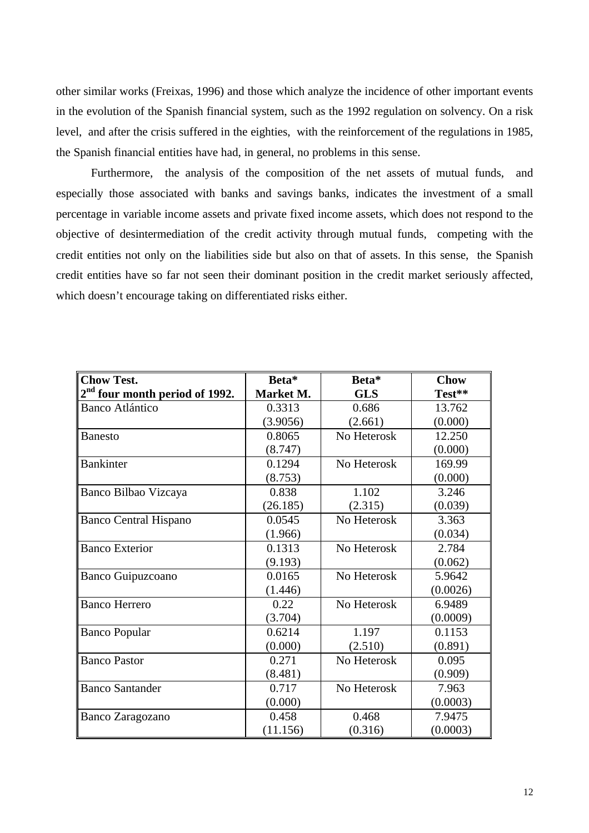other similar works (Freixas, 1996) and those which analyze the incidence of other important events in the evolution of the Spanish financial system, such as the 1992 regulation on solvency. On a risk level, and after the crisis suffered in the eighties, with the reinforcement of the regulations in 1985, the Spanish financial entities have had, in general, no problems in this sense.

Furthermore, the analysis of the composition of the net assets of mutual funds, and especially those associated with banks and savings banks, indicates the investment of a small percentage in variable income assets and private fixed income assets, which does not respond to the objective of desintermediation of the credit activity through mutual funds, competing with the credit entities not only on the liabilities side but also on that of assets. In this sense, the Spanish credit entities have so far not seen their dominant position in the credit market seriously affected, which doesn't encourage taking on differentiated risks either.

| <b>Chow Test.</b>                          | Beta*     | Beta*       | <b>Chow</b> |
|--------------------------------------------|-----------|-------------|-------------|
| 2 <sup>nd</sup> four month period of 1992. | Market M. | <b>GLS</b>  | Test**      |
| <b>Banco Atlántico</b>                     | 0.3313    | 0.686       | 13.762      |
|                                            | (3.9056)  | (2.661)     | (0.000)     |
| <b>Banesto</b>                             | 0.8065    | No Heterosk | 12.250      |
|                                            | (8.747)   |             | (0.000)     |
| <b>Bankinter</b>                           | 0.1294    | No Heterosk | 169.99      |
|                                            | (8.753)   |             | (0.000)     |
| Banco Bilbao Vizcaya                       | 0.838     | 1.102       | 3.246       |
|                                            | (26.185)  | (2.315)     | (0.039)     |
| <b>Banco Central Hispano</b>               | 0.0545    | No Heterosk | 3.363       |
|                                            | (1.966)   |             | (0.034)     |
| <b>Banco Exterior</b>                      | 0.1313    | No Heterosk | 2.784       |
|                                            | (9.193)   |             | (0.062)     |
| <b>Banco Guipuzcoano</b>                   | 0.0165    | No Heterosk | 5.9642      |
|                                            | (1.446)   |             | (0.0026)    |
| <b>Banco Herrero</b>                       | 0.22      | No Heterosk | 6.9489      |
|                                            | (3.704)   |             | (0.0009)    |
| <b>Banco Popular</b>                       | 0.6214    | 1.197       | 0.1153      |
|                                            | (0.000)   | (2.510)     | (0.891)     |
| <b>Banco Pastor</b>                        | 0.271     | No Heterosk | 0.095       |
|                                            | (8.481)   |             | (0.909)     |
| <b>Banco Santander</b>                     | 0.717     | No Heterosk | 7.963       |
|                                            | (0.000)   |             | (0.0003)    |
| Banco Zaragozano                           | 0.458     | 0.468       | 7.9475      |
|                                            | (11.156)  | (0.316)     | (0.0003)    |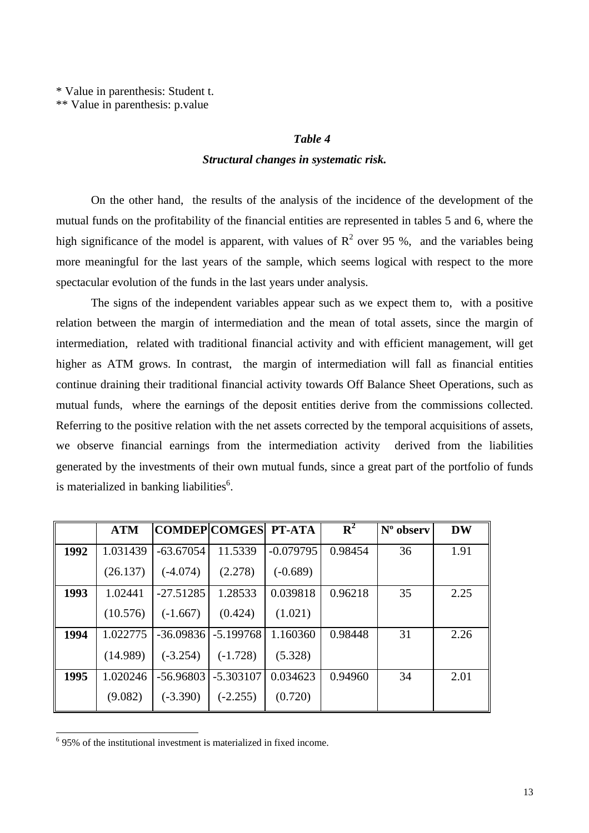\* Value in parenthesis: Student t.

\*\* Value in parenthesis: p.value

#### *Table 4*

### *Structural changes in systematic risk.*

On the other hand, the results of the analysis of the incidence of the development of the mutual funds on the profitability of the financial entities are represented in tables 5 and 6, where the high significance of the model is apparent, with values of  $R^2$  over 95 %, and the variables being more meaningful for the last years of the sample, which seems logical with respect to the more spectacular evolution of the funds in the last years under analysis.

The signs of the independent variables appear such as we expect them to, with a positive relation between the margin of intermediation and the mean of total assets, since the margin of intermediation, related with traditional financial activity and with efficient management, will get higher as ATM grows. In contrast, the margin of intermediation will fall as financial entities continue draining their traditional financial activity towards Off Balance Sheet Operations, such as mutual funds, where the earnings of the deposit entities derive from the commissions collected. Referring to the positive relation with the net assets corrected by the temporal acquisitions of assets, we observe financial earnings from the intermediation activity derived from the liabilities generated by the investments of their own mutual funds, since a great part of the portfolio of funds is materialized in banking liabilities<sup>6</sup>.

|      | <b>ATM</b> |             | <b>COMDEP COMGES PT-ATA</b> |             | ${\bf R}^2$ | N° observ | <b>DW</b> |
|------|------------|-------------|-----------------------------|-------------|-------------|-----------|-----------|
| 1992 | 1.031439   | $-63.67054$ | 11.5339                     | $-0.079795$ | 0.98454     | 36        | 1.91      |
|      | (26.137)   | $(-4.074)$  | (2.278)                     | $(-0.689)$  |             |           |           |
| 1993 | 1.02441    | $-27.51285$ | 1.28533                     | 0.039818    | 0.96218     | 35        | 2.25      |
|      | (10.576)   | $(-1.667)$  | (0.424)                     | (1.021)     |             |           |           |
| 1994 | 1.022775   | $-36.09836$ | $-5.199768$                 | 1.160360    | 0.98448     | 31        | 2.26      |
|      | (14.989)   | $(-3.254)$  | $(-1.728)$                  | (5.328)     |             |           |           |
| 1995 | 1.020246   | -56.96803   | $-5.303107$                 | 0.034623    | 0.94960     | 34        | 2.01      |
|      | (9.082)    | $(-3.390)$  | $(-2.255)$                  | (0.720)     |             |           |           |

 6 95% of the institutional investment is materialized in fixed income.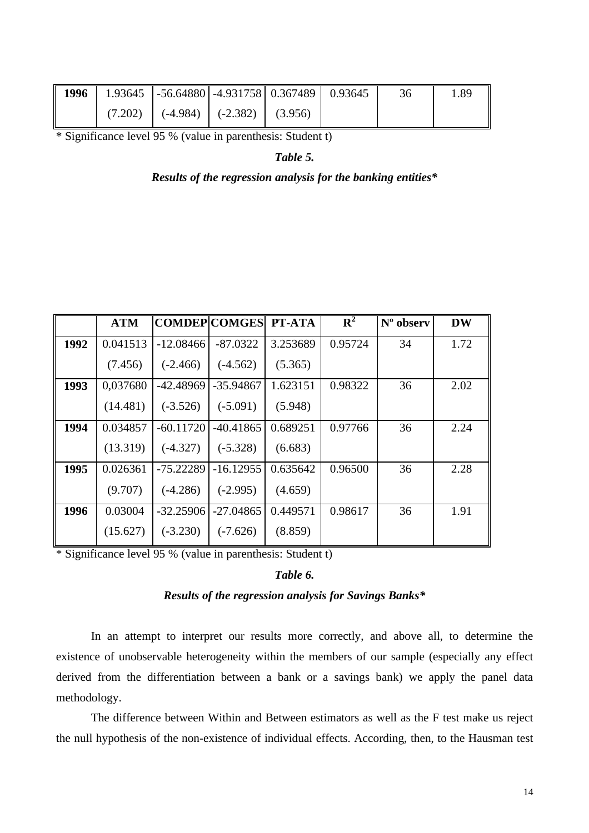| 1996<br>$\mathbf{I}$ | 1.93645   $-56.64880$   $-4.931758$   0.367489   0.93645 |  |  | 1.89 |
|----------------------|----------------------------------------------------------|--|--|------|
|                      | $(7.202)$ $(-4.984)$ $(-2.382)$ $(3.956)$                |  |  |      |

\* Significance level 95 % (value in parenthesis: Student t)

*Table 5.*

#### *Results of the regression analysis for the banking entities\**

|      | <b>ATM</b> | <b>COMDEP COMGES</b> |             | PT-ATA   | ${\bf R}^2$ | N° observ | <b>DW</b> |
|------|------------|----------------------|-------------|----------|-------------|-----------|-----------|
| 1992 | 0.041513   | $-12.08466$          | $-87.0322$  | 3.253689 | 0.95724     | 34        | 1.72      |
|      | (7.456)    | $(-2.466)$           | $(-4.562)$  | (5.365)  |             |           |           |
| 1993 | 0,037680   | $-42.48969$          | $-35.94867$ | 1.623151 | 0.98322     | 36        | 2.02      |
|      | (14.481)   | $(-3.526)$           | $(-5.091)$  | (5.948)  |             |           |           |
| 1994 | 0.034857   | $-60.11720$          | -40.41865   | 0.689251 | 0.97766     | 36        | 2.24      |
|      | (13.319)   | $(-4.327)$           | $(-5.328)$  | (6.683)  |             |           |           |
| 1995 | 0.026361   | $-75.22289$          | $-16.12955$ | 0.635642 | 0.96500     | 36        | 2.28      |
|      | (9.707)    | $(-4.286)$           | $(-2.995)$  | (4.659)  |             |           |           |
| 1996 | 0.03004    | $-32.25906$          | $-27.04865$ | 0.449571 | 0.98617     | 36        | 1.91      |
|      | (15.627)   | $(-3.230)$           | $(-7.626)$  | (8.859)  |             |           |           |

\* Significance level 95 % (value in parenthesis: Student t)

### *Table 6.*

## *Results of the regression analysis for Savings Banks\**

In an attempt to interpret our results more correctly, and above all, to determine the existence of unobservable heterogeneity within the members of our sample (especially any effect derived from the differentiation between a bank or a savings bank) we apply the panel data methodology.

The difference between Within and Between estimators as well as the F test make us reject the null hypothesis of the non-existence of individual effects. According, then, to the Hausman test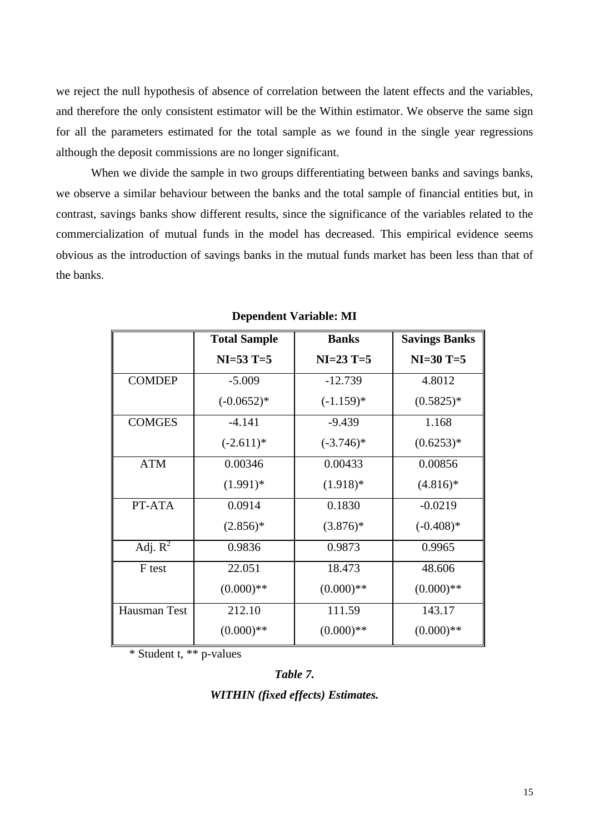we reject the null hypothesis of absence of correlation between the latent effects and the variables, and therefore the only consistent estimator will be the Within estimator. We observe the same sign for all the parameters estimated for the total sample as we found in the single year regressions although the deposit commissions are no longer significant.

When we divide the sample in two groups differentiating between banks and savings banks, we observe a similar behaviour between the banks and the total sample of financial entities but, in contrast, savings banks show different results, since the significance of the variables related to the commercialization of mutual funds in the model has decreased. This empirical evidence seems obvious as the introduction of savings banks in the mutual funds market has been less than that of the banks.

|               | <b>Total Sample</b> | <b>Banks</b> | <b>Savings Banks</b> |
|---------------|---------------------|--------------|----------------------|
|               | $NI=53$ T=5         | $NI=23$ T=5  | $NI=30$ T=5          |
| <b>COMDEP</b> | $-5.009$            | $-12.739$    | 4.8012               |
|               | $(-0.0652)*$        | $(-1.159)*$  | $(0.5825)*$          |
| <b>COMGES</b> | $-4.141$            | $-9.439$     | 1.168                |
|               | $(-2.611)*$         | $(-3.746)^*$ | $(0.6253)*$          |
| <b>ATM</b>    | 0.00346             | 0.00433      | 0.00856              |
|               | $(1.991)*$          | $(1.918)*$   | $(4.816)*$           |
| PT-ATA        | 0.0914              | 0.1830       | $-0.0219$            |
|               | $(2.856)*$          | $(3.876)*$   | $(-0.408)*$          |
| Adj. $R^2$    | 0.9836              | 0.9873       | 0.9965               |
| F test        | 22.051              | 18.473       | 48.606               |
|               | $(0.000)**$         | $(0.000)$ ** | $(0.000)$ **         |
| Hausman Test  | 212.10              | 111.59       | 143.17               |
|               | $(0.000)**$         | $(0.000)$ ** | $(0.000)$ **         |

#### **Dependent Variable: MI**

\* Student t, \*\* p-values

#### *Table 7.*

*WITHIN (fixed effects) Estimates.*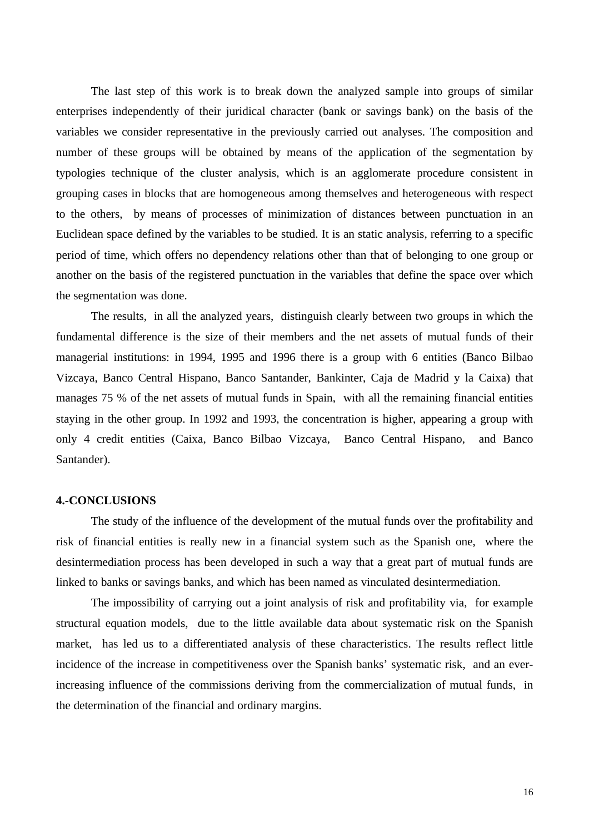The last step of this work is to break down the analyzed sample into groups of similar enterprises independently of their juridical character (bank or savings bank) on the basis of the variables we consider representative in the previously carried out analyses. The composition and number of these groups will be obtained by means of the application of the segmentation by typologies technique of the cluster analysis, which is an agglomerate procedure consistent in grouping cases in blocks that are homogeneous among themselves and heterogeneous with respect to the others, by means of processes of minimization of distances between punctuation in an Euclidean space defined by the variables to be studied. It is an static analysis, referring to a specific period of time, which offers no dependency relations other than that of belonging to one group or another on the basis of the registered punctuation in the variables that define the space over which the segmentation was done.

The results, in all the analyzed years, distinguish clearly between two groups in which the fundamental difference is the size of their members and the net assets of mutual funds of their managerial institutions: in 1994, 1995 and 1996 there is a group with 6 entities (Banco Bilbao Vizcaya, Banco Central Hispano, Banco Santander, Bankinter, Caja de Madrid y la Caixa) that manages 75 % of the net assets of mutual funds in Spain, with all the remaining financial entities staying in the other group. In 1992 and 1993, the concentration is higher, appearing a group with only 4 credit entities (Caixa, Banco Bilbao Vizcaya, Banco Central Hispano, and Banco Santander).

#### **4.-CONCLUSIONS**

The study of the influence of the development of the mutual funds over the profitability and risk of financial entities is really new in a financial system such as the Spanish one, where the desintermediation process has been developed in such a way that a great part of mutual funds are linked to banks or savings banks, and which has been named as vinculated desintermediation.

The impossibility of carrying out a joint analysis of risk and profitability via, for example structural equation models, due to the little available data about systematic risk on the Spanish market, has led us to a differentiated analysis of these characteristics. The results reflect little incidence of the increase in competitiveness over the Spanish banks' systematic risk, and an everincreasing influence of the commissions deriving from the commercialization of mutual funds, in the determination of the financial and ordinary margins.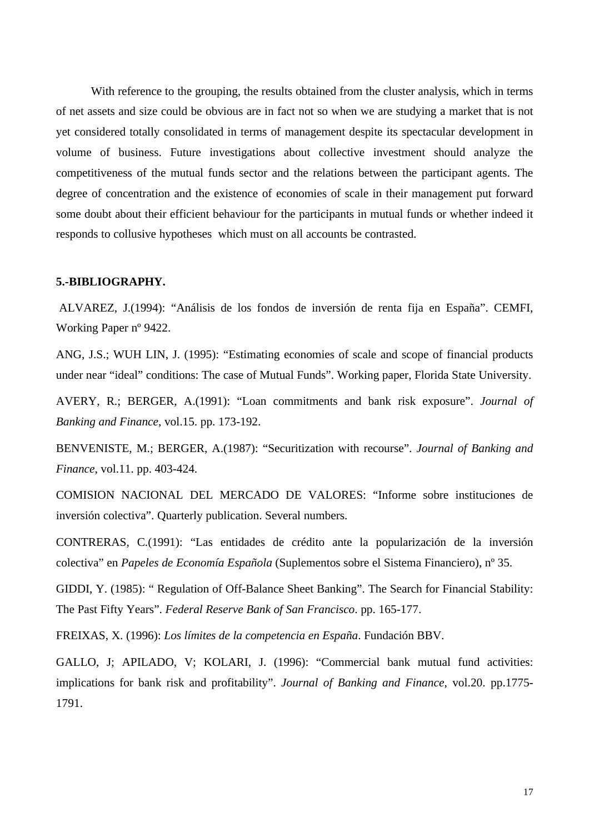With reference to the grouping, the results obtained from the cluster analysis, which in terms of net assets and size could be obvious are in fact not so when we are studying a market that is not yet considered totally consolidated in terms of management despite its spectacular development in volume of business. Future investigations about collective investment should analyze the competitiveness of the mutual funds sector and the relations between the participant agents. The degree of concentration and the existence of economies of scale in their management put forward some doubt about their efficient behaviour for the participants in mutual funds or whether indeed it responds to collusive hypotheses which must on all accounts be contrasted.

### **5.-BIBLIOGRAPHY.**

 ALVAREZ, J.(1994): "Análisis de los fondos de inversión de renta fija en España". CEMFI, Working Paper nº 9422.

ANG, J.S.; WUH LIN, J. (1995): "Estimating economies of scale and scope of financial products under near "ideal" conditions: The case of Mutual Funds". Working paper, Florida State University.

AVERY, R.; BERGER, A.(1991): "Loan commitments and bank risk exposure". *Journal of Banking and Finance*, vol.15. pp. 173-192.

BENVENISTE, M.; BERGER, A.(1987): "Securitization with recourse". *Journal of Banking and Finance*, vol.11. pp. 403-424.

COMISION NACIONAL DEL MERCADO DE VALORES: "Informe sobre instituciones de inversión colectiva". Quarterly publication. Several numbers.

CONTRERAS, C.(1991): "Las entidades de crédito ante la popularización de la inversión colectiva" en *Papeles de Economía Española* (Suplementos sobre el Sistema Financiero), nº 35.

GIDDI, Y. (1985): " Regulation of Off-Balance Sheet Banking". The Search for Financial Stability: The Past Fifty Years". *Federal Reserve Bank of San Francisco*. pp. 165-177.

FREIXAS, X. (1996): *Los límites de la competencia en España*. Fundación BBV.

GALLO, J; APILADO, V; KOLARI, J. (1996): "Commercial bank mutual fund activities: implications for bank risk and profitability". *Journal of Banking and Finance*, vol.20. pp.1775- 1791.